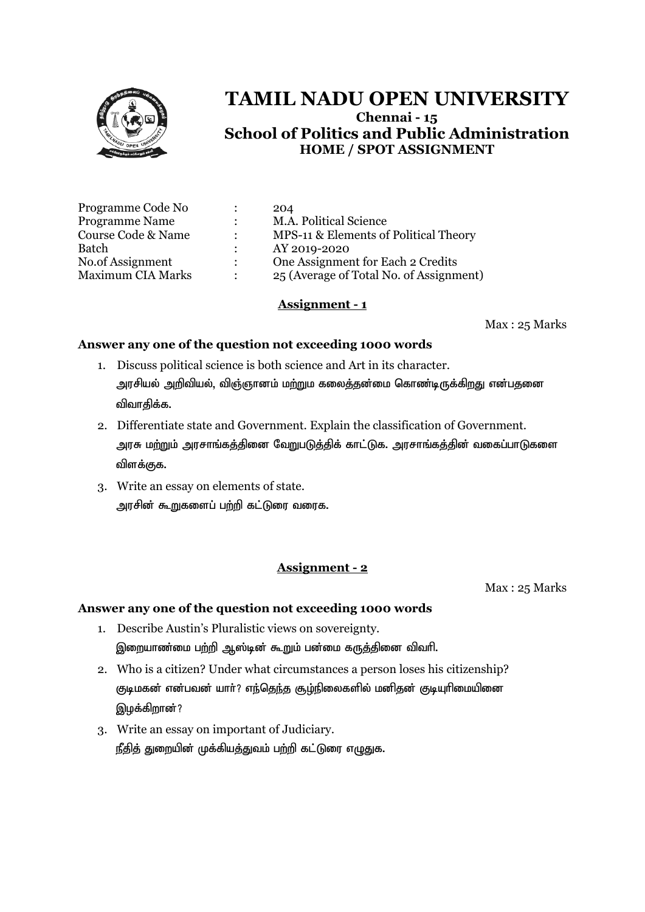

| Programme Code No        |                           | 204                                     |
|--------------------------|---------------------------|-----------------------------------------|
| <b>Programme Name</b>    | $\mathbb{R}^{\mathbb{Z}}$ | M.A. Political Science                  |
| Course Code & Name       | $\mathcal{L}$             | MPS-11 & Elements of Political Theory   |
| Batch                    |                           | AY 2019-2020                            |
| No.of Assignment         | $\mathcal{L}$             | One Assignment for Each 2 Credits       |
| <b>Maximum CIA Marks</b> | $\ddot{\cdot}$            | 25 (Average of Total No. of Assignment) |

#### **Assignment - 1**

Max : 25 Marks

#### **Answer any one of the question not exceeding 1000 words**

- 1. Discuss political science is both science and Art in its character. அரசியல் அறிவியல், விஞ்ஞானம் மற்றும கலைத்தன்மை கொண்டிருக்கிறது என்பதனை விவாகிக்க.
- 2. Differentiate state and Government. Explain the classification of Government. அரசு மற்றும் அரசாங்கத்தினை வேறுபடுத்திக் காட்டுக. அரசாங்கத்தின் வகைப்பாடுகளை விளக்குக.
- 3. Write an essay on elements of state. அரசின் கூறுகளைப் பற்றி கட்டுரை வரைக.

## **Assignment - 2**

Max : 25 Marks

- 1. Describe Austin's Pluralistic views on sovereignty. இறையாண்மை பற்றி ஆஸ்டின் கூறும் பன்மை கருத்தினை விவரி.
- 2. Who is a citizen? Under what circumstances a person loses his citizenship? குடிமகன் என்பவன் யாா்? எந்தெந்த சூழ்நிலைகளில் மனிதன் குடியுரிமையினை இழக்கிறான்?
- 3. Write an essay on important of Judiciary. நீதித் துறையின் முக்கியத்துவம் பற்றி கட்டுரை எழுதுக.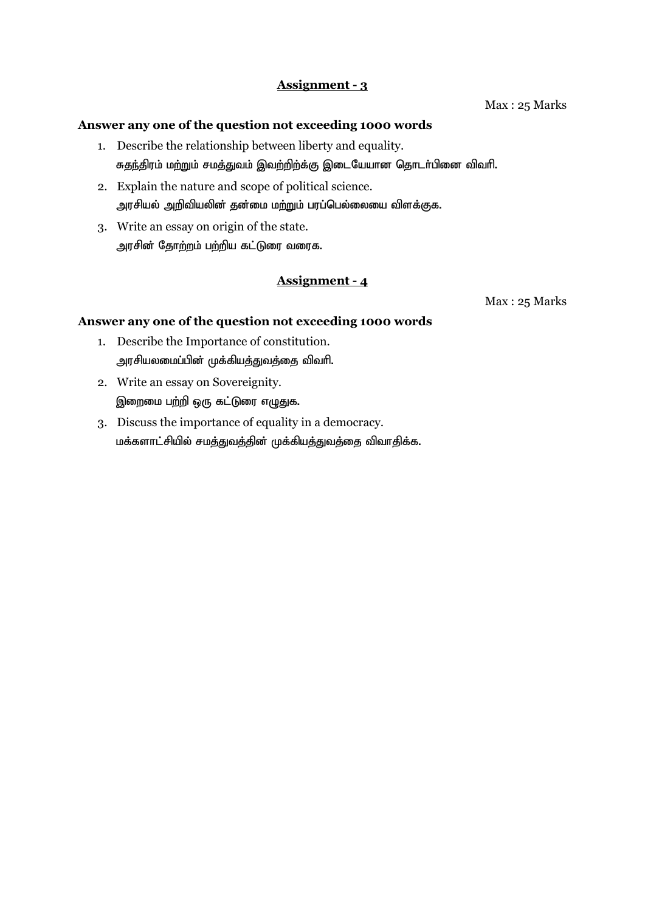#### **Answer any one of the question not exceeding 1000 words**

- 1. Describe the relationship between liberty and equality. சுதந்திரம் மற்றும் சமத்துவம் இவற்றிற்க்கு இடையேயான தொடர்பினை விவரி.
- 2. Explain the nature and scope of political science. அரசியல் அறிவியலின் தன்மை மற்றும் பரப்பெல்லையை விளக்குக.
- 3. Write an essay on origin of the state. அரசின் தோற்றம் பற்றிய கட்டுரை வரைக.

## **Assignment - 4**

Max : 25 Marks

- 1. Describe the Importance of constitution. அரசியலமைப்பின் முக்கியத்துவத்தை விவரி.
- 2. Write an essay on Sovereignity. இறைமை பற்றி ஒரு கட்டுரை எழுதுக.
- 3. Discuss the importance of equality in a democracy. மக்களாட்சியில் சமத்துவத்தின் முக்கியத்துவத்தை விவாதிக்க.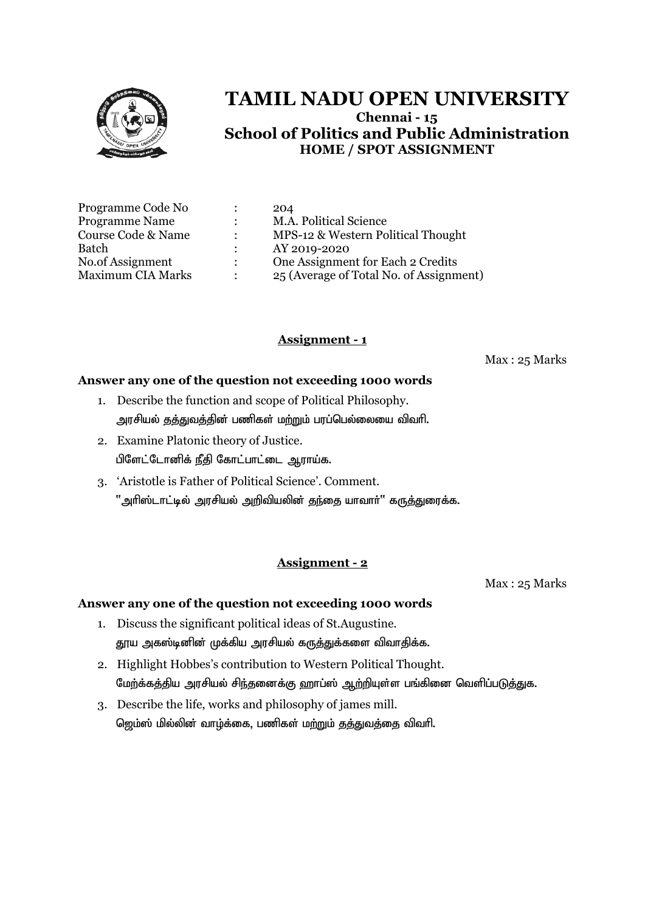

| Programme Code No        |                | 204                                     |
|--------------------------|----------------|-----------------------------------------|
| Programme Name           |                | M.A. Political Science                  |
| Course Code & Name       |                | MPS-12 & Western Political Thought      |
| Batch                    |                | AY 2019-2020                            |
| No.of Assignment         | $\mathcal{L}$  | One Assignment for Each 2 Credits       |
| <b>Maximum CIA Marks</b> | $\ddot{\cdot}$ | 25 (Average of Total No. of Assignment) |

## **Assignment - 1**

Max : 25 Marks

#### **Answer any one of the question not exceeding 1000 words**

- 1. Describe the function and scope of Political Philosophy. அரசியல் தத்துவத்தின் பணிகள் மற்றும் பரப்பெல்லையை விவரி.
- 2. Examine Platonic theory of Justice. பிளேட்டோனிக் நீதி கோட்பாட்டை ஆராய்க.
- 3. 'Aristotle is Father of Political Science'. Comment.  $"$ அரிஸ்டாட்டில் அரசியல் அறிவியலின் தந்தை யாவார் $"$  கருத்துரைக்க.

## **Assignment - 2**

Max : 25 Marks

- 1. Discuss the significant political ideas of St.Augustine. தூய அகஸ்டினின் முக்கிய அரசியல் கருத்துக்களை விவாதிக்க.
- 2. Highlight Hobbes's contribution to Western Political Thought. மேற்க்கத்திய அரசியல் சிந்தனைக்கு ஹாப்ஸ் ஆற்றியுள்ள பங்கினை வெளிப்படுத்துக.
- 3. Describe the life, works and philosophy of james mill. ஜெம்ஸ் மில்லின் வாழ்க்கை, பணிகள் மற்றும் தத்துவத்தை விவரி.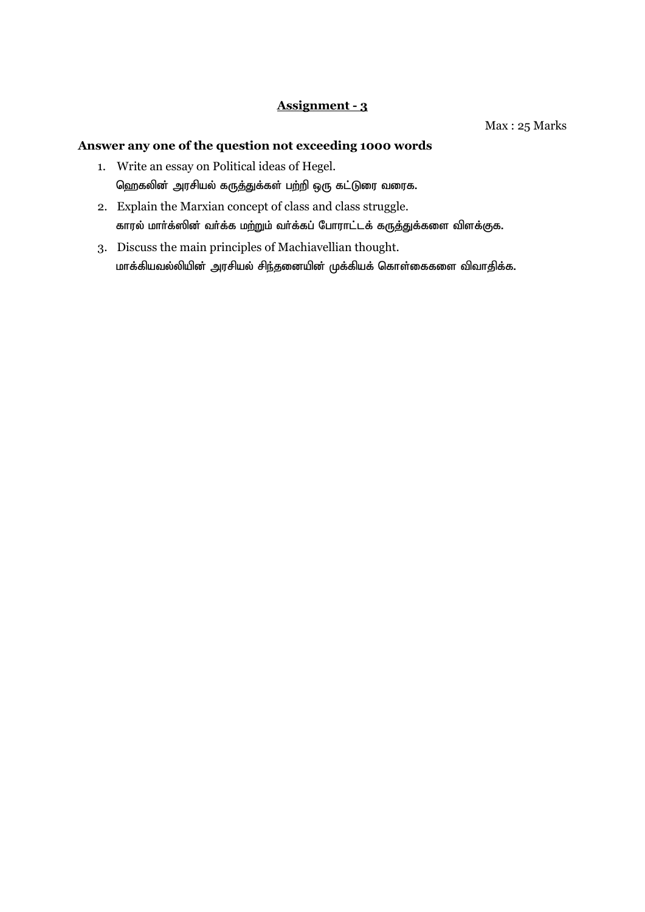Max : 25 Marks

- 1. Write an essay on Political ideas of Hegel. ஹெகலின் அரசியல் கருத்துக்கள் பற்றி ஒரு கட்டுரை வரைக.
- 2. Explain the Marxian concept of class and class struggle. காரல் மார்க்ஸின் வர்க்க மற்றும் வர்க்கப் போராட்டக் கருத்துக்களை விளக்குக.
- 3. Discuss the main principles of Machiavellian thought. மாக்கியவல்லியின் அரசியல் சிந்தனையின் முக்கியக் கொள்கைகளை விவாதிக்க.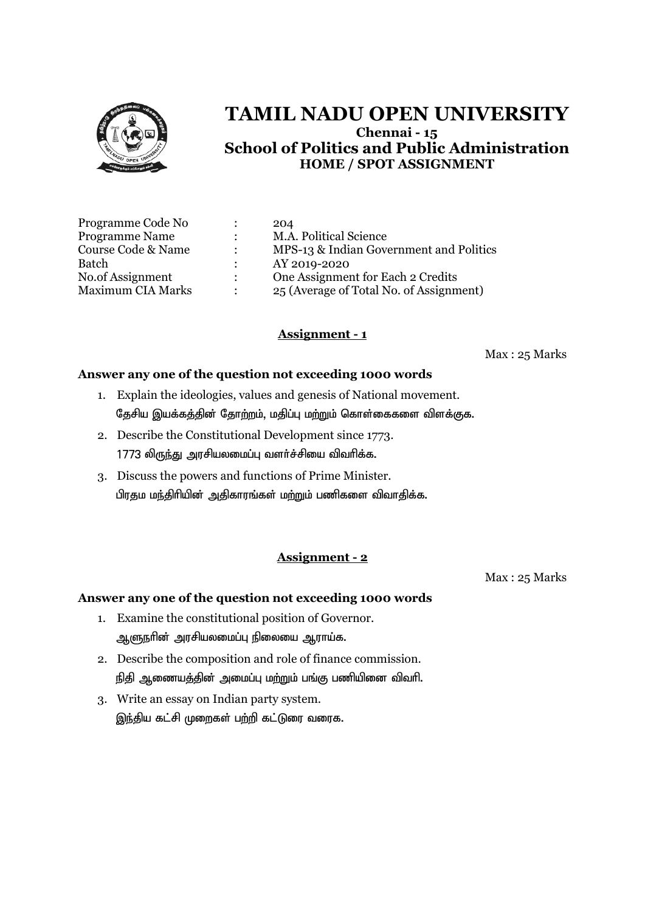

| Programme Code No        |                      | 204                                     |
|--------------------------|----------------------|-----------------------------------------|
| <b>Programme Name</b>    | $\ddot{\phantom{a}}$ | M.A. Political Science                  |
| Course Code & Name       | $\ddot{\cdot}$       | MPS-13 & Indian Government and Politics |
| Batch                    | $\ddot{\cdot}$       | AY 2019-2020                            |
| No.of Assignment         | $\ddot{\phantom{a}}$ | One Assignment for Each 2 Credits       |
| <b>Maximum CIA Marks</b> | ÷                    | 25 (Average of Total No. of Assignment) |

## **Assignment - 1**

Max : 25 Marks

#### **Answer any one of the question not exceeding 1000 words**

- 1. Explain the ideologies, values and genesis of National movement. தேசிய இயக்கத்தின் தோற்றம், மதிப்பு மற்றும் கொள்கைகளை விளக்குக.
- 2. Describe the Constitutional Development since 1773.  $1773$  லிருந்து அரசியலமைப்பு வளர்ச்சியை விவரிக்க.
- 3. Discuss the powers and functions of Prime Minister. பிரதம மந்திரியின் அதிகாரங்கள் மற்றும் பணிகளை விவாதிக்க.

## **Assignment - 2**

Max : 25 Marks

- 1. Examine the constitutional position of Governor. ஆளுநரின் அரசியலமைப்பு நிலையை ஆராய்க.
- 2. Describe the composition and role of finance commission. நிதி ஆணையத்தின் அமைப்பு மற்றும் பங்கு பணியினை விவரி.
- 3. Write an essay on Indian party system. இந்திய கட்சி முறைகள் பற்றி கட்டுரை வரைக.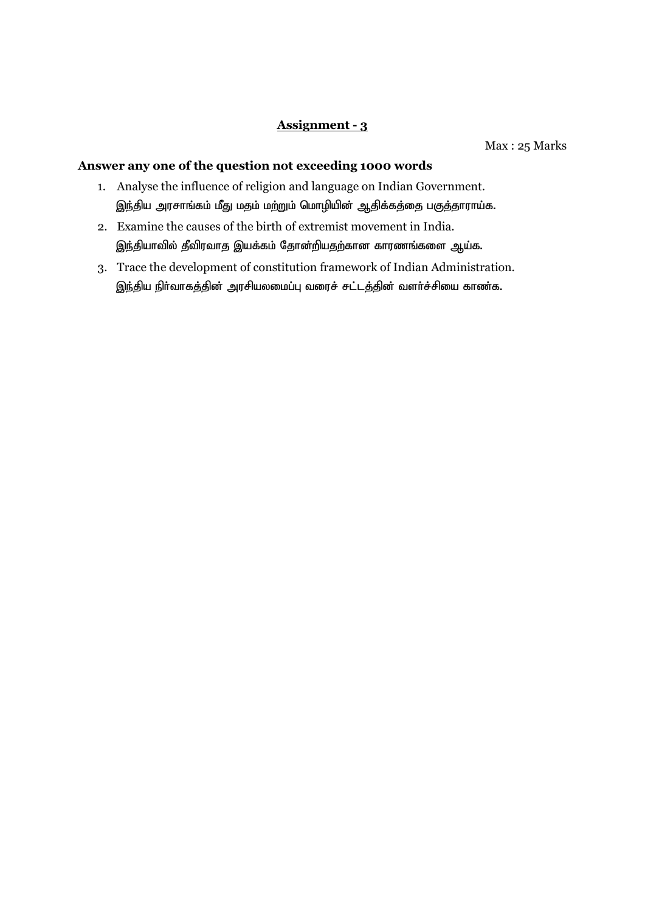Max : 25 Marks

- 1. Analyse the influence of religion and language on Indian Government. இந்திய அரசாங்கம் மீது மதம் மற்றும் மொழியின் ஆதிக்கத்தை பகுத்தாராய்க.
- 2. Examine the causes of the birth of extremist movement in India. இந்தியாவில் தீவிரவாத இயக்கம் தோன்றியதற்கான காரணங்களை ஆய்க.
- 3. Trace the development of constitution framework of Indian Administration. இந்திய நிர்வாகத்தின் அரசியலமைப்பு வரைச் சட்டத்தின் வளர்ச்சியை காண்க.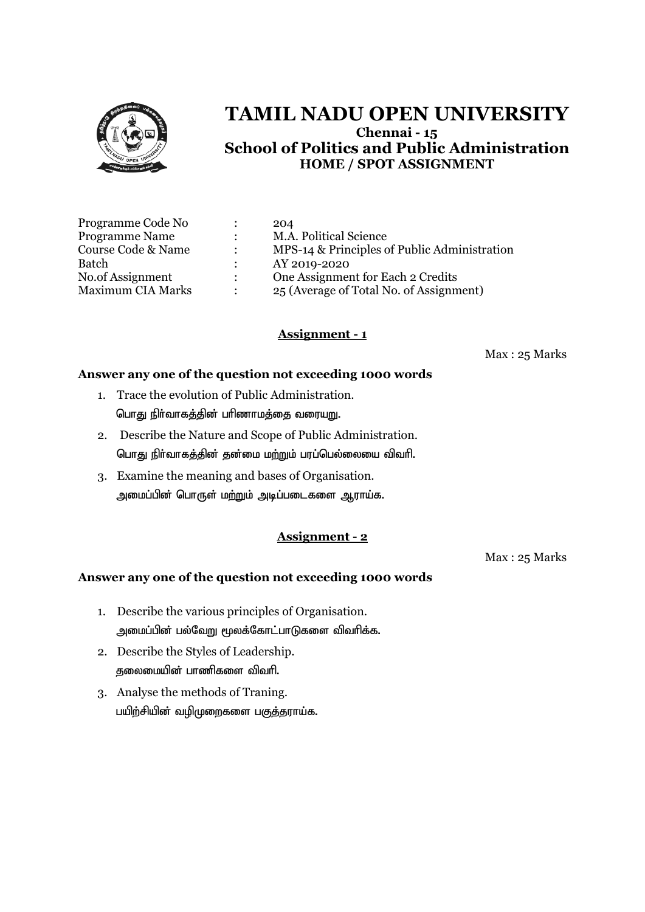

| Programme Code No        |              | 204                                          |
|--------------------------|--------------|----------------------------------------------|
| <b>Programme Name</b>    |              | M.A. Political Science                       |
| Course Code & Name       |              | MPS-14 & Principles of Public Administration |
| Batch                    |              | AY 2019-2020                                 |
| No.of Assignment         | $\mathbb{R}$ | One Assignment for Each 2 Credits            |
| <b>Maximum CIA Marks</b> |              | 25 (Average of Total No. of Assignment)      |

## **Assignment - 1**

Max : 25 Marks

#### **Answer any one of the question not exceeding 1000 words**

- 1. Trace the evolution of Public Administration. பொது நிர்வாகத்தின் பரிணாமத்தை வரையறு.
- 2. Describe the Nature and Scope of Public Administration. பொது நிர்வாகத்தின் தன்மை மற்றும் பரப்பெல்லையை விவரி.
- 3. Examine the meaning and bases of Organisation. அமைப்பின் பொருள் மற்றும் அடிப்படைகளை ஆராய்க.

## **Assignment - 2**

Max : 25 Marks

- 1. Describe the various principles of Organisation. அமைப்பின் பல்வேறு மூலக்கோட்பாடுகளை விவரிக்க.
- 2. Describe the Styles of Leadership. குலைமையின் பாணிகளை விவரி.
- 3. Analyse the methods of Traning. பயிற்சியின் வமிமுறைகளை பகுத்தராய்க.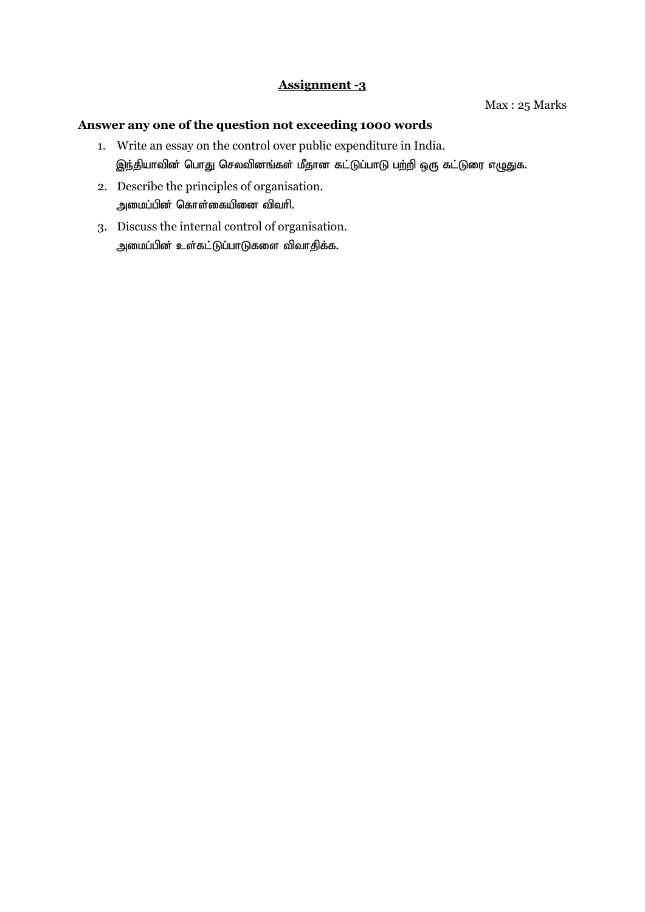- 1. Write an essay on the control over public expenditure in India. இந்தியாவின் பொது செலவினங்கள் மீதான கட்டுப்பாடு பற்றி ஒரு கட்டுரை எழுதுக.
- 2. Describe the principles of organisation. அமைப்பின் கொள்கையினை விவரி.
- 3. Discuss the internal control of organisation. அமைப்பின் உள்கட்டுப்பாடுகளை விவாதிக்க.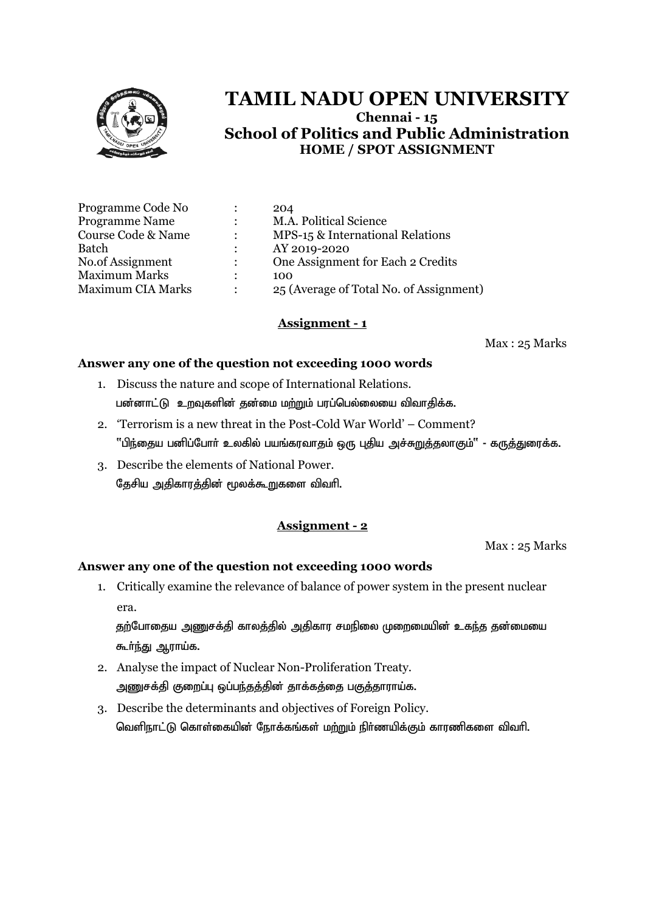

| Programme Code No        |                      | 204                                     |
|--------------------------|----------------------|-----------------------------------------|
| Programme Name           | $\ddot{\phantom{a}}$ | M.A. Political Science                  |
| Course Code & Name       | $\ddot{\cdot}$       | MPS-15 & International Relations        |
| Batch                    |                      | AY 2019-2020                            |
| No.of Assignment         |                      | One Assignment for Each 2 Credits       |
| <b>Maximum Marks</b>     | ٠                    | 100                                     |
| <b>Maximum CIA Marks</b> |                      | 25 (Average of Total No. of Assignment) |
|                          |                      |                                         |

#### **Assignment - 1**

Max : 25 Marks

#### **Answer any one of the question not exceeding 1000 words**

- 1. Discuss the nature and scope of International Relations. பன்னாட்டு உறவுகளின் தன்மை மற்றும் பரப்பெல்லையை விவாதிக்க.
- 2. 'Terrorism is a new threat in the Post-Cold War World' Comment? "பிந்தைய பனிப்போர் உலகில் பயங்கரவாதம் ஒரு புதிய அச்சுறுத்தலாகும்" - கருத்துரைக்க.
- 3. Describe the elements of National Power. தேசிய அதிகாரத்தின் மூலக்கூறுகளை விவரி.

## **Assignment - 2**

Max : 25 Marks

#### **Answer any one of the question not exceeding 1000 words**

1. Critically examine the relevance of balance of power system in the present nuclear era.

தற்போதைய அணுசக்தி காலத்தில் அதிகார சமநிலை முறைமையின் உகந்த தன்மையை கூர்ந்து ஆராய்க.

- 2. Analyse the impact of Nuclear Non-Proliferation Treaty. அணுசக்தி குறைப்பு ஒப்பந்தத்தின் தாக்கத்தை பகுத்தாராய்க.
- 3. Describe the determinants and objectives of Foreign Policy. வெளிநாட்டு கொள்கையின் நோக்கங்கள் மற்றும் நிர்ணயிக்கும் காரணிகளை விவரி.